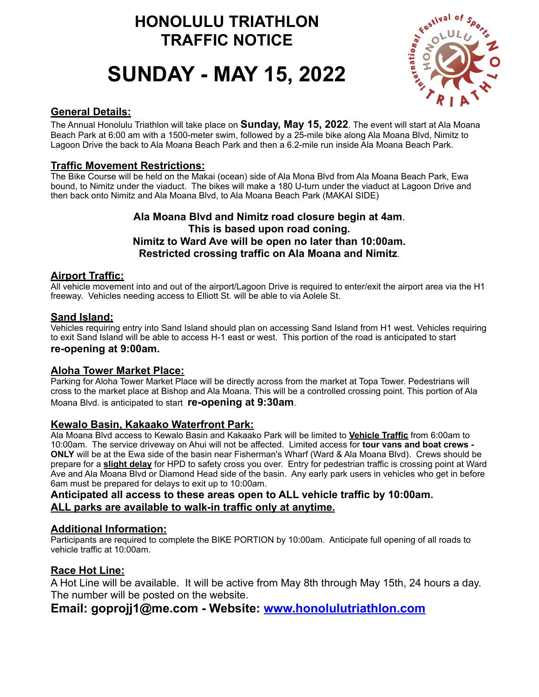# **HONOLULU TRIATHLON TRAFFIC NOTICE**

# **SUNDAY - MAY 15, 2022**



### **General Details:**

The Annual Honolulu Triathlon will take place on **Sunday, May 15, 2022**. The event will start at Ala Moana Beach Park at 6:00 am with a 1500-meter swim, followed by a 25-mile bike along Ala Moana Blvd, Nimitz to Lagoon Drive the back to Ala Moana Beach Park and then a 6.2-mile run inside Ala Moana Beach Park.

## **Traffic Movement Restrictions:**

The Bike Course will be held on the Makai (ocean) side of Ala Mona Blvd from Ala Moana Beach Park, Ewa bound, to Nimitz under the viaduct. The bikes will make a 180 U-turn under the viaduct at Lagoon Drive and then back onto Nimitz and Ala Moana Blvd, to Ala Moana Beach Park (MAKAI SIDE)

#### **Ala Moana Blvd and Nimitz road closure begin at 4am**. **This is based upon road coning. Nimitz to Ward Ave will be open no later than 10:00am. Restricted crossing traffic on Ala Moana and Nimitz**.

#### **Airport Traffic:**

All vehicle movement into and out of the airport/Lagoon Drive is required to enter/exit the airport area via the H1 freeway. Vehicles needing access to Elliott St. will be able to via Aolele St.

#### **Sand Island:**

Vehicles requiring entry into Sand Island should plan on accessing Sand Island from H1 west. Vehicles requiring to exit Sand Island will be able to access H-1 east or west. This portion of the road is anticipated to start **re-opening at 9:00am.**

#### **Aloha Tower Market Place:**

Parking for Aloha Tower Market Place will be directly across from the market at Topa Tower. Pedestrians will cross to the market place at Bishop and Ala Moana. This will be a controlled crossing point. This portion of Ala Moana Blvd. is anticipated to start **re-opening at 9:30am**.

#### **Kewalo Basin, Kakaako Waterfront Park:**

Ala Moana Blvd access to Kewalo Basin and Kakaako Park will be limited to **Vehicle Traffic** from 6:00am to 10:00am. The service driveway on Ahui will not be affected. Limited access for **tour vans and boat crews - ONLY** will be at the Ewa side of the basin near Fisherman's Wharf (Ward & Ala Moana Blvd). Crews should be prepare for a **slight delay** for HPD to safety cross you over. Entry for pedestrian traffic is crossing point at Ward Ave and Ala Moana Blvd or Diamond Head side of the basin. Any early park users in vehicles who get in before 6am must be prepared for delays to exit up to 10:00am.

#### **Anticipated all access to these areas open to ALL vehicle traffic by 10:00am. ALL parks are available to walk-in traffic only at anytime.**

#### **Additional Information:**

Participants are required to complete the BIKE PORTION by 10:00am. Anticipate full opening of all roads to vehicle traffic at 10:00am.

#### **Race Hot Line:**

A Hot Line will be available. It will be active from May 8th through May 15th, 24 hours a day. The number will be posted on the website.

# **Email: goprojj1@me.com - Website: [www.honolulutriathlon.com](http://www.honolulutriathlon.com)**